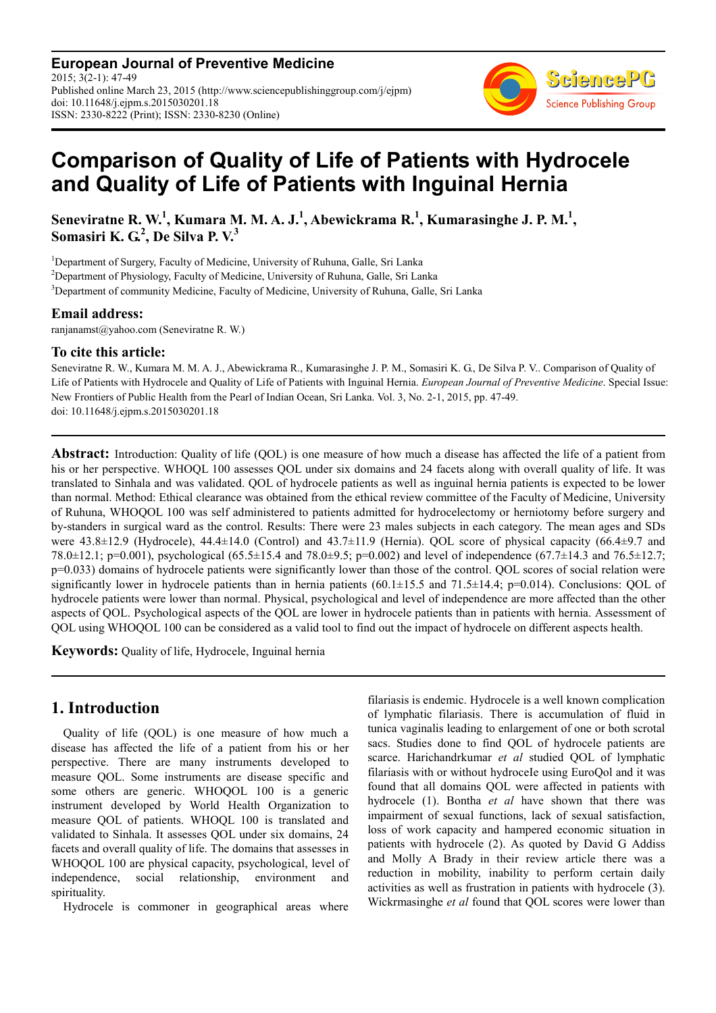**European Journal of Preventive Medicine** 2015; 3(2-1): 47-49 Published online March 23, 2015 (http://www.sciencepublishinggroup.com/j/ejpm) doi: 10.11648/j.ejpm.s.2015030201.18 ISSN: 2330-8222 (Print); ISSN: 2330-8230 (Online)



# **Comparison of Quality of Life of Patients with Hydrocele and Quality of Life of Patients with Inguinal Hernia**

**Seneviratne R. W.<sup>1</sup> , Kumara M. M. A. J.<sup>1</sup> , Abewickrama R.<sup>1</sup> , Kumarasinghe J. P. M.<sup>1</sup> , Somasiri K. G.<sup>2</sup> , De Silva P. V.<sup>3</sup>**

<sup>1</sup>Department of Surgery, Faculty of Medicine, University of Ruhuna, Galle, Sri Lanka

<sup>2</sup>Department of Physiology, Faculty of Medicine, University of Ruhuna, Galle, Sri Lanka

<sup>3</sup>Department of community Medicine, Faculty of Medicine, University of Ruhuna, Galle, Sri Lanka

#### **Email address:**

ranjanamst@yahoo.com (Seneviratne R. W.)

#### **To cite this article:**

Seneviratne R. W., Kumara M. M. A. J., Abewickrama R., Kumarasinghe J. P. M., Somasiri K. G., De Silva P. V.. Comparison of Quality of Life of Patients with Hydrocele and Quality of Life of Patients with Inguinal Hernia. *European Journal of Preventive Medicine*. Special Issue: New Frontiers of Public Health from the Pearl of Indian Ocean, Sri Lanka. Vol. 3, No. 2-1, 2015, pp. 47-49. doi: 10.11648/j.ejpm.s.2015030201.18

**Abstract:** Introduction: Quality of life (QOL) is one measure of how much a disease has affected the life of a patient from his or her perspective. WHOQL 100 assesses QOL under six domains and 24 facets along with overall quality of life. It was translated to Sinhala and was validated. QOL of hydrocele patients as well as inguinal hernia patients is expected to be lower than normal. Method: Ethical clearance was obtained from the ethical review committee of the Faculty of Medicine, University of Ruhuna, WHOQOL 100 was self administered to patients admitted for hydrocelectomy or herniotomy before surgery and by-standers in surgical ward as the control. Results: There were 23 males subjects in each category. The mean ages and SDs were 43.8±12.9 (Hydrocele), 44.4±14.0 (Control) and 43.7±11.9 (Hernia). QOL score of physical capacity (66.4±9.7 and 78.0±12.1; p=0.001), psychological (65.5±15.4 and 78.0±9.5; p=0.002) and level of independence (67.7±14.3 and 76.5±12.7; p=0.033) domains of hydrocele patients were significantly lower than those of the control. QOL scores of social relation were significantly lower in hydrocele patients than in hernia patients  $(60.1 \pm 15.5$  and  $71.5 \pm 14.4$ ; p=0.014). Conclusions: QOL of hydrocele patients were lower than normal. Physical, psychological and level of independence are more affected than the other aspects of QOL. Psychological aspects of the QOL are lower in hydrocele patients than in patients with hernia. Assessment of QOL using WHOQOL 100 can be considered as a valid tool to find out the impact of hydrocele on different aspects health.

**Keywords:** Quality of life, Hydrocele, Inguinal hernia

## **1. Introduction**

Quality of life (QOL) is one measure of how much a disease has affected the life of a patient from his or her perspective. There are many instruments developed to measure QOL. Some instruments are disease specific and some others are generic. WHOQOL 100 is a generic instrument developed by World Health Organization to measure QOL of patients. WHOQL 100 is translated and validated to Sinhala. It assesses QOL under six domains, 24 facets and overall quality of life. The domains that assesses in WHOQOL 100 are physical capacity, psychological, level of independence, social relationship, environment and spirituality.

Hydrocele is commoner in geographical areas where

filariasis is endemic. Hydrocele is a well known complication of lymphatic filariasis. There is accumulation of fluid in tunica vaginalis leading to enlargement of one or both scrotal sacs. Studies done to find QOL of hydrocele patients are scarce. Harichandrkumar *et al* studied QOL of lymphatic filariasis with or without hydroceIe using EuroQol and it was found that all domains QOL were affected in patients with hydrocele (1). Bontha *et al* have shown that there was impairment of sexual functions, lack of sexual satisfaction, loss of work capacity and hampered economic situation in patients with hydrocele (2). As quoted by David G Addiss and Molly A Brady in their review article there was a reduction in mobility, inability to perform certain daily activities as well as frustration in patients with hydrocele (3). Wickrmasinghe *et al* found that QOL scores were lower than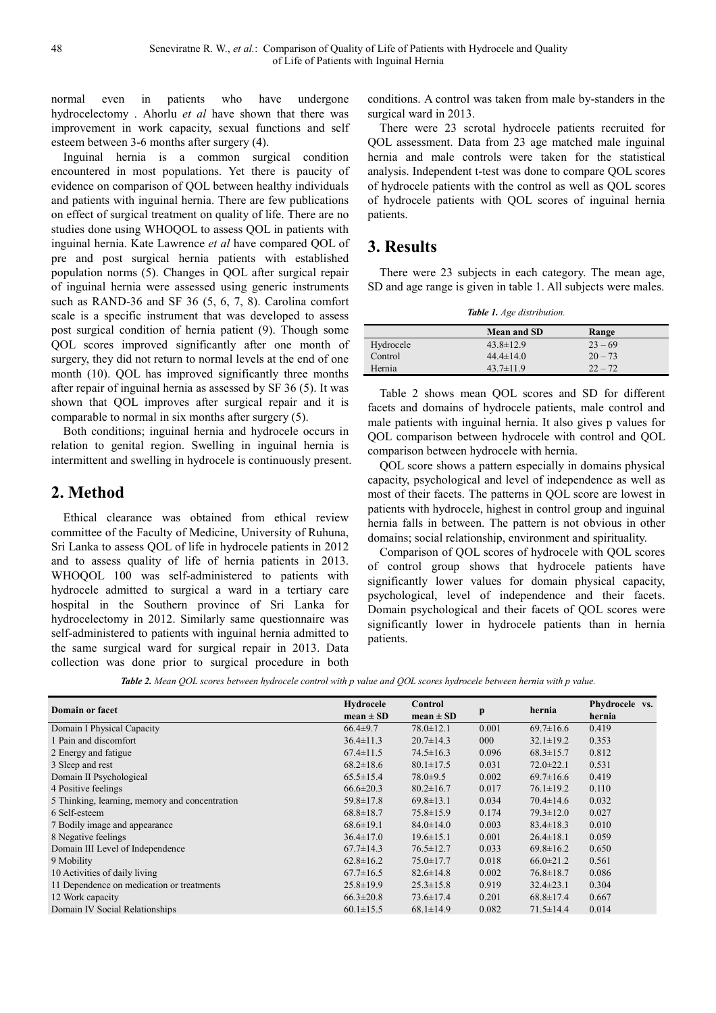normal even in patients who have undergone hydrocelectomy . Ahorlu *et al* have shown that there was improvement in work capacity, sexual functions and self esteem between 3-6 months after surgery (4).

Inguinal hernia is a common surgical condition encountered in most populations. Yet there is paucity of evidence on comparison of QOL between healthy individuals and patients with inguinal hernia. There are few publications on effect of surgical treatment on quality of life. There are no studies done using WHOQOL to assess QOL in patients with inguinal hernia. Kate Lawrence *et al* have compared QOL of pre and post surgical hernia patients with established population norms (5). Changes in QOL after surgical repair of inguinal hernia were assessed using generic instruments such as RAND-36 and SF 36 (5, 6, 7, 8). Carolina comfort scale is a specific instrument that was developed to assess post surgical condition of hernia patient (9). Though some QOL scores improved significantly after one month of surgery, they did not return to normal levels at the end of one month (10). QOL has improved significantly three months after repair of inguinal hernia as assessed by SF 36 (5). It was shown that QOL improves after surgical repair and it is comparable to normal in six months after surgery (5).

Both conditions; inguinal hernia and hydrocele occurs in relation to genital region. Swelling in inguinal hernia is intermittent and swelling in hydrocele is continuously present.

# **2. Method**

Ethical clearance was obtained from ethical review committee of the Faculty of Medicine, University of Ruhuna, Sri Lanka to assess QOL of life in hydrocele patients in 2012 and to assess quality of life of hernia patients in 2013. WHOQOL 100 was self-administered to patients with hydrocele admitted to surgical a ward in a tertiary care hospital in the Southern province of Sri Lanka for hydrocelectomy in 2012. Similarly same questionnaire was self-administered to patients with inguinal hernia admitted to the same surgical ward for surgical repair in 2013. Data collection was done prior to surgical procedure in both conditions. A control was taken from male by-standers in the surgical ward in 2013.

There were 23 scrotal hydrocele patients recruited for QOL assessment. Data from 23 age matched male inguinal hernia and male controls were taken for the statistical analysis. Independent t-test was done to compare QOL scores of hydrocele patients with the control as well as QOL scores of hydrocele patients with QOL scores of inguinal hernia patients.

# **3. Results**

There were 23 subjects in each category. The mean age, SD and age range is given in table 1. All subjects were males.

*Table 1. Age distribution.* 

|           | <b>Mean and SD</b> | Range     |
|-----------|--------------------|-----------|
| Hydrocele | $43.8 \pm 12.9$    | $23 - 69$ |
| Control   | $44.4 \pm 14.0$    | $20 - 73$ |
| Hernia    | $43.7 \pm 11.9$    | $22 - 72$ |

Table 2 shows mean QOL scores and SD for different facets and domains of hydrocele patients, male control and male patients with inguinal hernia. It also gives p values for QOL comparison between hydrocele with control and QOL comparison between hydrocele with hernia.

QOL score shows a pattern especially in domains physical capacity, psychological and level of independence as well as most of their facets. The patterns in QOL score are lowest in patients with hydrocele, highest in control group and inguinal hernia falls in between. The pattern is not obvious in other domains; social relationship, environment and spirituality.

Comparison of QOL scores of hydrocele with QOL scores of control group shows that hydrocele patients have significantly lower values for domain physical capacity, psychological, level of independence and their facets. Domain psychological and their facets of QOL scores were significantly lower in hydrocele patients than in hernia patients.

*Table 2. Mean QOL scores between hydrocele control with p value and QOL scores hydrocele between hernia with p value.* 

| <b>Domain or facet</b>                         | Hydrocele<br>$mean \pm SD$ | Control<br>$mean \pm SD$ | p     | hernia          | Phydrocele vs.<br>hernia |
|------------------------------------------------|----------------------------|--------------------------|-------|-----------------|--------------------------|
|                                                |                            |                          |       |                 |                          |
| Domain I Physical Capacity                     | $66.4 \pm 9.7$             | $78.0 \pm 12.1$          | 0.001 | $69.7 \pm 16.6$ | 0.419                    |
| 1 Pain and discomfort                          | $36.4 \pm 11.3$            | $20.7 \pm 14.3$          | 000   | $32.1 \pm 19.2$ | 0.353                    |
| 2 Energy and fatigue                           | $67.4 \pm 11.5$            | $74.5 \pm 16.3$          | 0.096 | $68.3 \pm 15.7$ | 0.812                    |
| 3 Sleep and rest                               | $68.2 \pm 18.6$            | $80.1 \pm 17.5$          | 0.031 | $72.0 \pm 22.1$ | 0.531                    |
| Domain II Psychological                        | $65.5 \pm 15.4$            | $78.0 \pm 9.5$           | 0.002 | $69.7 \pm 16.6$ | 0.419                    |
| 4 Positive feelings                            | $66.6 \pm 20.3$            | $80.2 \pm 16.7$          | 0.017 | $76.1 \pm 19.2$ | 0.110                    |
| 5 Thinking, learning, memory and concentration | $59.8 \pm 17.8$            | $69.8 \pm 13.1$          | 0.034 | $70.4 \pm 14.6$ | 0.032                    |
| 6 Self-esteem                                  | $68.8 \pm 18.7$            | $75.8 \pm 15.9$          | 0.174 | $79.3 \pm 12.0$ | 0.027                    |
| 7 Bodily image and appearance                  | $68.6 \pm 19.1$            | $84.0 \pm 14.0$          | 0.003 | $83.4 \pm 18.3$ | 0.010                    |
| 8 Negative feelings                            | $36.4 \pm 17.0$            | $19.6 \pm 15.1$          | 0.001 | $26.4 \pm 18.1$ | 0.059                    |
| Domain III Level of Independence               | $67.7 \pm 14.3$            | $76.5 \pm 12.7$          | 0.033 | $69.8 \pm 16.2$ | 0.650                    |
| 9 Mobility                                     | $62.8 \pm 16.2$            | $75.0 \pm 17.7$          | 0.018 | $66.0 \pm 21.2$ | 0.561                    |
| 10 Activities of daily living                  | $67.7 \pm 16.5$            | $82.6 \pm 14.8$          | 0.002 | $76.8 \pm 18.7$ | 0.086                    |
| 11 Dependence on medication or treatments      | $25.8 \pm 19.9$            | $25.3 \pm 15.8$          | 0.919 | $32.4 \pm 23.1$ | 0.304                    |
| 12 Work capacity                               | $66.3 \pm 20.8$            | $73.6 \pm 17.4$          | 0.201 | $68.8 \pm 17.4$ | 0.667                    |
| Domain IV Social Relationships                 | $60.1 \pm 15.5$            | $68.1 \pm 14.9$          | 0.082 | $71.5 \pm 14.4$ | 0.014                    |